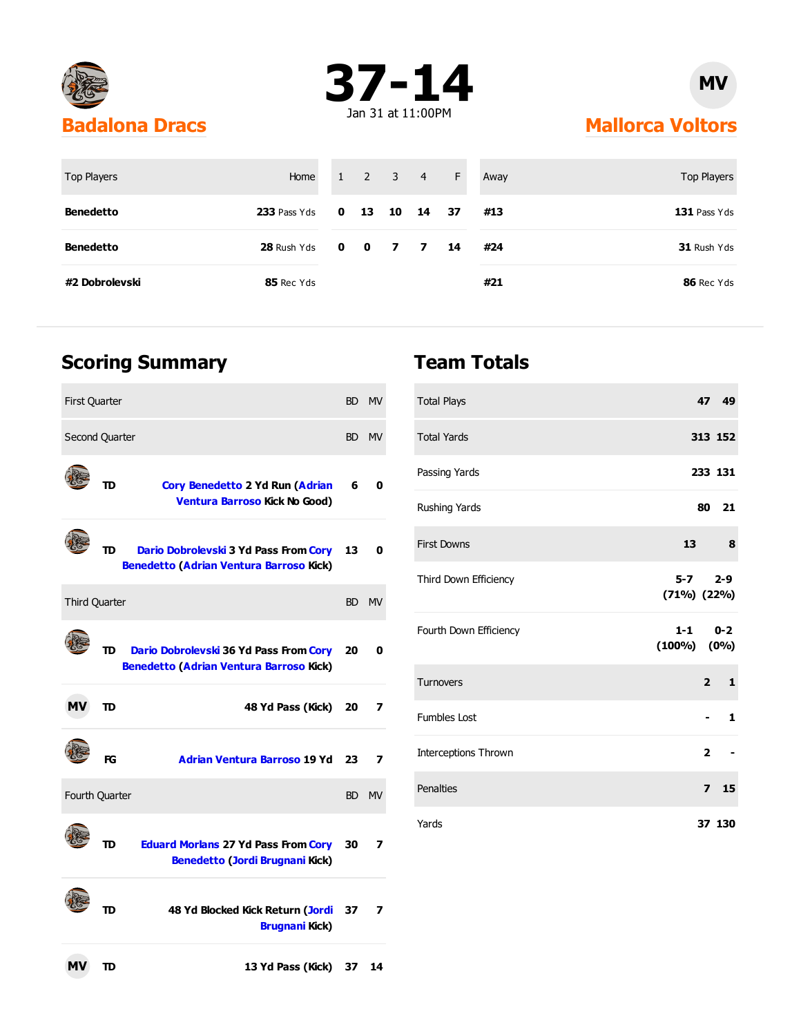



## **Mallorca Voltors**

| <b>Top Players</b> | Home         | $1 \quad 2 \quad 3 \quad 4$ |               | F  | Away | Top Players  |
|--------------------|--------------|-----------------------------|---------------|----|------|--------------|
| <b>Benedetto</b>   | 233 Pass Yds |                             | 0 13 10 14 37 |    | #13  | 131 Pass Yds |
| <b>Benedetto</b>   | 28 Rush Yds  | 0 0 7 7                     |               | 14 | #24  | 31 Rush Yds  |
| #2 Dobrolevski     | 85 Rec Yds   |                             |               |    | #21  | 86 Rec Yds   |

### **Scoring Summary**

| <b>First Quarter</b> |           |                                                                                          | BD. | <b>MV</b> |
|----------------------|-----------|------------------------------------------------------------------------------------------|-----|-----------|
| Second Quarter       |           |                                                                                          |     | BD MV     |
|                      | TD        | Cory Benedetto 2 Yd Run (Adrian<br>Ventura Barroso Kick No Good)                         | 6   | 0         |
|                      | TD        | Dario Dobrolevski 3 Yd Pass From Cory<br><b>Benedetto (Adrian Ventura Barroso Kick)</b>  | 13  | 0         |
| <b>Third Quarter</b> |           |                                                                                          |     | BD MV     |
|                      | <b>TD</b> | Dario Dobrolevski 36 Yd Pass From Cory<br><b>Benedetto (Adrian Ventura Barroso Kick)</b> | 20  | 0         |
| <b>MV</b>            | TD        | 48 Yd Pass (Kick)                                                                        | 20  | 7         |
|                      | FG        | <b>Adrian Ventura Barroso 19 Yd</b>                                                      | 23  | 7         |
| Fourth Quarter       |           |                                                                                          |     | BD MV     |
|                      | סד        | <b>Eduard Morlans 27 Yd Pass From Cory</b><br><b>Benedetto (Jordi Brugnani Kick)</b>     | 30  | 7         |
|                      | סד        | 48 Yd Blocked Kick Return (Jordi<br><b>Brugnani Kick)</b>                                | 37  | 7         |
| мv                   | סד        | 13 Yd Pass (Kick)                                                                        | 37  | 14        |

### **Team Totals**

| <b>Total Plays</b>          | 47 49                            |
|-----------------------------|----------------------------------|
| <b>Total Yards</b>          | 313 152                          |
| Passing Yards               | 233 131                          |
| Rushing Yards               | 80 21                            |
| <b>First Downs</b>          | 13<br>8                          |
| Third Down Efficiency       | $5-7$<br>$2 - 9$<br>(71%) (22%)  |
| Fourth Down Efficiency      | $1 - 1$ 0-2<br>$(100\%)$ $(0\%)$ |
| <b>Turnovers</b>            | $2^{\circ}$<br>$\mathbf{1}$      |
| <b>Fumbles Lost</b>         | 1                                |
| <b>Interceptions Thrown</b> | $\overline{2}$                   |
| Penalties                   | 7 <sub>15</sub>                  |
| Yards                       | 37 130                           |

#### **MV**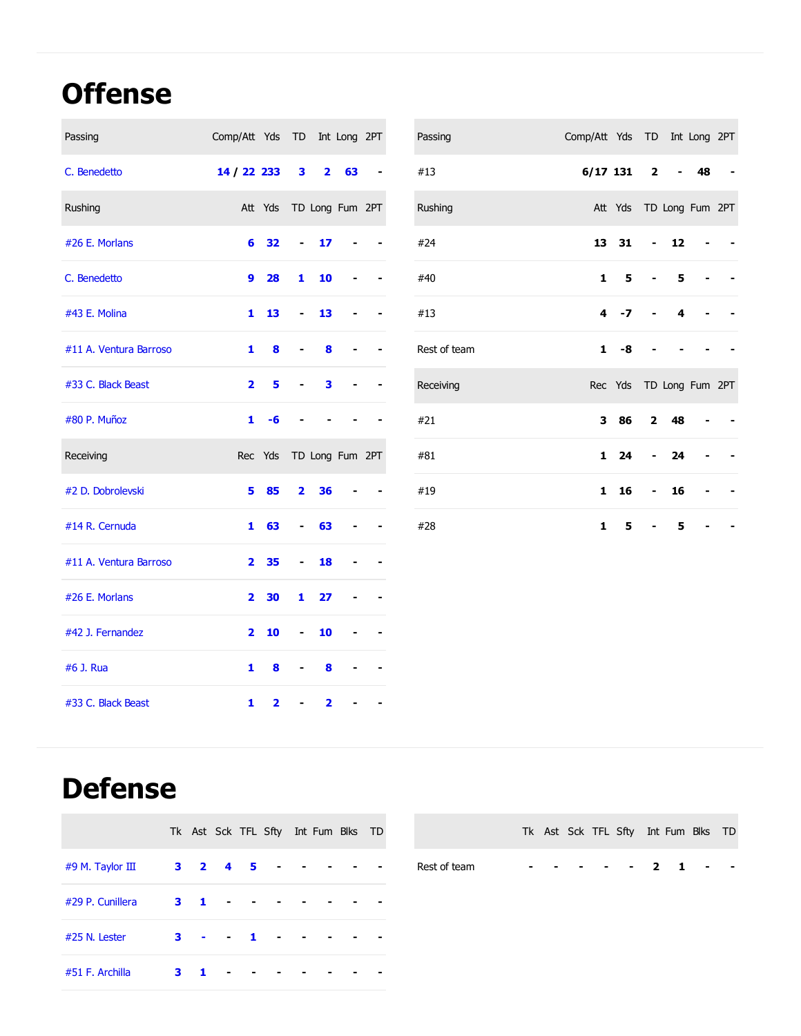## **Offense**

| Passing                | Comp/Att Yds TD Int Long 2PT |                         |                         |                         |    |  | Passing      | Comp/Att Yds TD Int Long 2PT |                         |                          |                          |    |  |
|------------------------|------------------------------|-------------------------|-------------------------|-------------------------|----|--|--------------|------------------------------|-------------------------|--------------------------|--------------------------|----|--|
| C. Benedetto           | 14 / 22 233                  |                         | 3                       | $\overline{\mathbf{2}}$ | 63 |  | #13          | $6/17$ 131                   |                         | $\mathbf 2$              | $\overline{\phantom{0}}$ | 48 |  |
| Rushing                |                              | Att Yds TD Long Fum 2PT |                         |                         |    |  | Rushing      |                              | Att Yds TD Long Fum 2PT |                          |                          |    |  |
| #26 E. Morlans         | 6                            | 32                      | $\blacksquare$          | 17                      |    |  | #24          | 13                           | 31                      | $\overline{\phantom{0}}$ | 12                       |    |  |
| C. Benedetto           | 9                            | 28                      | 1                       | 10                      |    |  | #40          | $\mathbf{1}$                 | 5                       |                          | 5                        |    |  |
| #43 E. Molina          | $\mathbf{1}$                 | 13                      | $\blacksquare$          | 13                      |    |  | #13          | 4                            | $-7$                    |                          | 4                        |    |  |
| #11 A. Ventura Barroso | 1                            | 8                       |                         | 8                       |    |  | Rest of team | 1                            | -8                      |                          |                          |    |  |
| #33 C. Black Beast     | $\mathbf{2}$                 | 5                       |                         | 3                       |    |  | Receiving    |                              | Rec Yds TD Long Fum 2PT |                          |                          |    |  |
| #80 P. Muñoz           | $\mathbf{1}$                 | -6                      |                         |                         |    |  | #21          | 3                            | 86                      | $\mathbf{2}$             | 48                       |    |  |
| Receiving              |                              | Rec Yds TD Long Fum 2PT |                         |                         |    |  | #81          | 1                            | 24                      |                          | 24                       |    |  |
| #2 D. Dobrolevski      | 5.                           | 85                      | $\overline{\mathbf{2}}$ | 36                      |    |  | #19          | $\mathbf{1}$                 | 16                      | $\overline{\phantom{0}}$ | 16                       |    |  |
| #14 R. Cernuda         | $\mathbf{1}$                 | 63                      | $\blacksquare$          | 63                      |    |  | #28          | $\mathbf{1}$                 | 5                       |                          | 5                        |    |  |
| #11 A. Ventura Barroso | $\mathbf{2}$                 | 35                      | $\blacksquare$          | 18                      |    |  |              |                              |                         |                          |                          |    |  |
| #26 E. Morlans         | $\mathbf{2}$                 | 30                      | 1                       | 27                      |    |  |              |                              |                         |                          |                          |    |  |
| #42 J. Fernandez       | $\overline{2}$               | 10                      | $\blacksquare$          | 10                      |    |  |              |                              |                         |                          |                          |    |  |
| #6 J. Rua              | 1                            | 8                       |                         | 8                       |    |  |              |                              |                         |                          |                          |    |  |
|                        |                              |                         |                         |                         |    |  |              |                              |                         |                          |                          |    |  |

## **Defense**

|                   |   |                |                             | Tk Ast Sck TFL Sfty Int Fum Blks TD |            |  |  |            |  |
|-------------------|---|----------------|-----------------------------|-------------------------------------|------------|--|--|------------|--|
| #9 M. Taylor III  |   |                |                             |                                     |            |  |  | Rest of te |  |
| #29 P. Cunillera  |   |                | $3 \quad 1 \quad - \quad -$ |                                     |            |  |  |            |  |
| $#25$ N. Lester   | 3 |                |                             |                                     | $\sim 100$ |  |  |            |  |
| $#51$ F. Archilla | 3 | $\blacksquare$ |                             |                                     |            |  |  |            |  |

#33 C. Black Beast **1 2 - 2 - -**

|              |  |  | Tk Ast Sck TFL Sfty Int Fum Blks TD |  |  |  |
|--------------|--|--|-------------------------------------|--|--|--|
| Rest of team |  |  | . 2 1                               |  |  |  |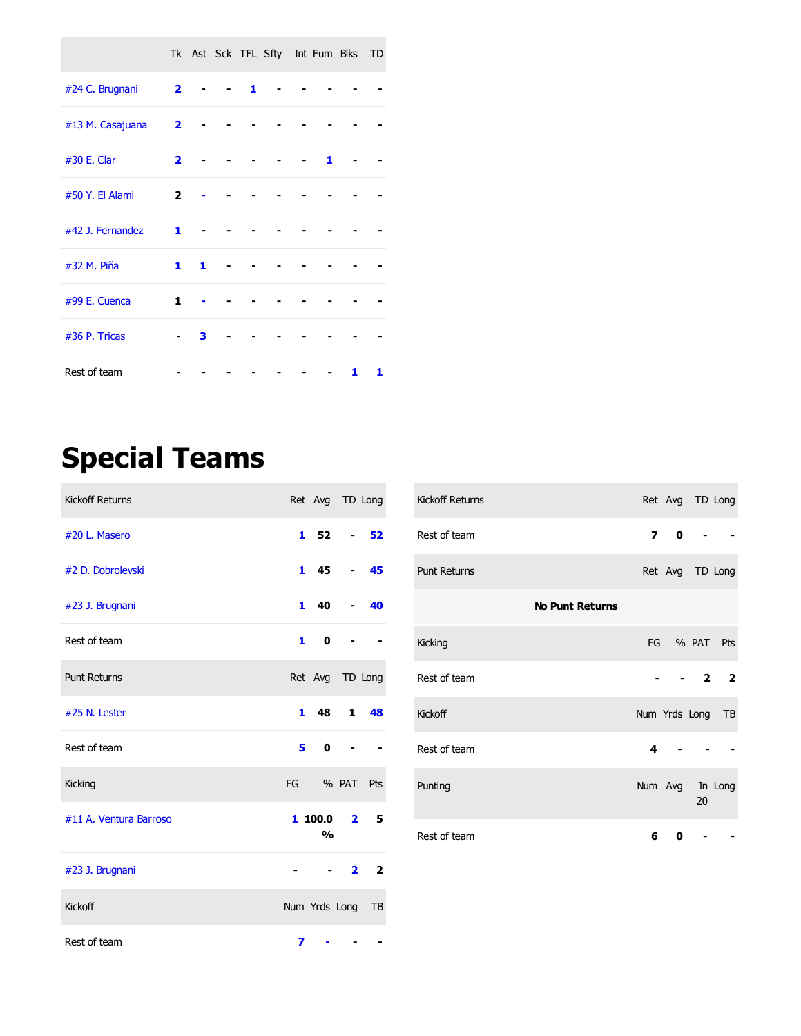|                  |                         |   |   | Tk Ast Sck TFL Sfty Int Fum Blks TD |   |   |   |
|------------------|-------------------------|---|---|-------------------------------------|---|---|---|
| #24 C. Brugnani  | $\overline{2}$          |   | 1 |                                     |   |   |   |
| #13 M. Casajuana | $\overline{\mathbf{2}}$ |   |   |                                     |   |   |   |
| #30 E. Clar      | $\overline{\mathbf{2}}$ |   |   |                                     | 1 |   |   |
| #50 Y. El Alami  | $\overline{2}$          |   |   |                                     |   |   |   |
| #42 J. Fernandez | 1                       |   |   |                                     |   |   |   |
| #32 M. Piña      | $\mathbf{1}$            | 1 |   |                                     |   |   |   |
| #99 E. Cuenca    | 1                       |   |   |                                     |   |   |   |
| #36 P. Tricas    |                         | 3 |   |                                     |   |   |   |
| Rest of team     |                         |   |   |                                     |   | 1 | 1 |

# **Special Teams**

| <b>Kickoff Returns</b> |   | Ret Avg TD Long           |                          |                |
|------------------------|---|---------------------------|--------------------------|----------------|
| #20 L. Masero          |   | $1\,52\,$ - 52            |                          |                |
| #2 D. Dobrolevski      |   | $1 \quad 45$              | $\overline{\phantom{0}}$ | 45             |
| #23 J. Brugnani        |   | $140 -$                   |                          | 40             |
| Rest of team           |   | $\mathbf{1}$<br>0         |                          |                |
| <b>Punt Returns</b>    |   | Ret Avg TD Long           |                          |                |
| #25 N. Lester          |   | 1 48 1 48                 |                          |                |
| Rest of team           |   | $5 \quad 0$               |                          |                |
| Kicking                |   | FG % PAT Pts              |                          |                |
| #11 A. Ventura Barroso |   | 1100.02<br>O <sub>0</sub> |                          | 5              |
| #23 J. Brugnani        |   |                           |                          | 2 <sub>2</sub> |
| Kickoff                |   | Num Yrds Long TB          |                          |                |
| Rest of team           | 7 |                           |                          |                |

| Kickoff Returns        |                  | Ret Avg TD Long |      |     |
|------------------------|------------------|-----------------|------|-----|
| Rest of team           |                  | 70              |      |     |
| <b>Punt Returns</b>    |                  | Ret Avg TD Long |      |     |
| <b>No Punt Returns</b> |                  |                 |      |     |
| Kicking                |                  | FG % PAT Pts    |      |     |
| Rest of team           |                  |                 | $-2$ | - 2 |
| Kickoff                | Num Yrds Long TB |                 |      |     |
| Rest of team           | 4                |                 |      |     |
| Punting                | Num Avg In Long  |                 | 20   |     |
| Rest of team           | 6                | 0               |      |     |